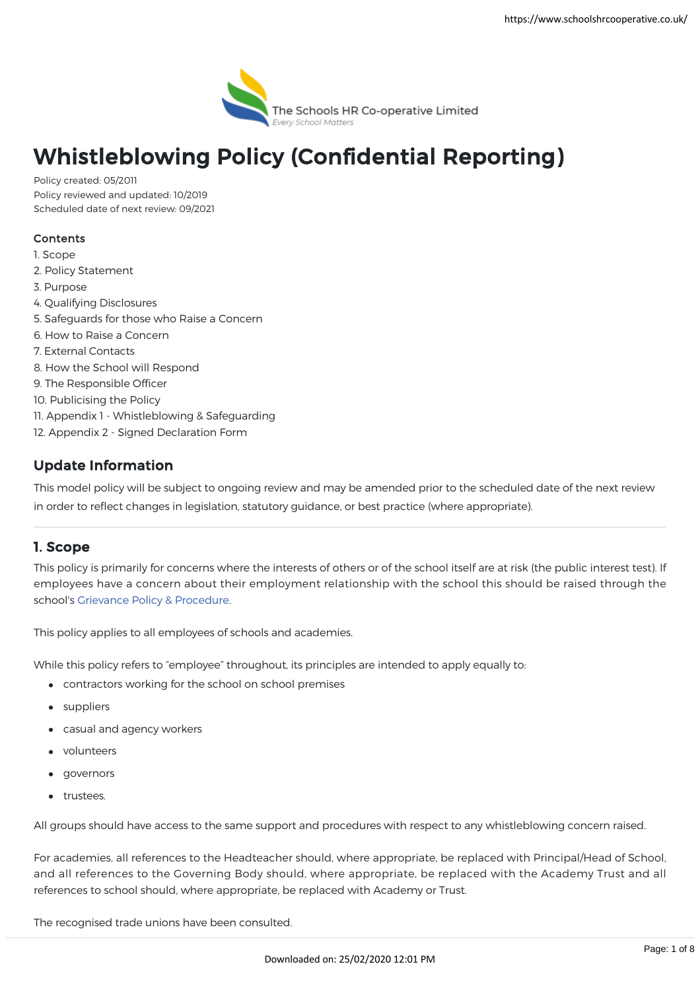

# Whistleblowing Policy (Confidential Reporting)

Policy created: 05/2011 Policy reviewed and updated: 10/2019 Scheduled date of next review: 09/2021

### Contents

- 1. Scope
- 2. Policy Statement
- 3. Purpose
- 4. Qualifying Disclosures
- 5. Safeguards for those who Raise a Concern
- 6. How to Raise a Concern
- 7. External Contacts
- 8. How the School will Respond
- 9. The Responsible Officer
- 10. Publicising the Policy
- 11. Appendix 1 Whistleblowing & Safeguarding
- 12. Appendix 2 Signed Declaration Form

# Update Information

This model policy will be subject to ongoing review and may be amended prior to the scheduled date of the next review in order to reflect changes in legislation, statutory guidance, or best practice (where appropriate).

## 1. Scope

This policy is primarily for concerns where the interests of others or of the school itself are at risk (the public interest test). If employees have a concern about their employment relationship with the school this should be raised through the school's [Grievance Policy & Procedure.](https://www.schoolshrcooperative.co.uk/school/PolicyDetails?id=40)

This policy applies to all employees of schools and academies.

While this policy refers to "employee" throughout, its principles are intended to apply equally to:

- contractors working for the school on school premises
- suppliers
- casual and agency workers
- volunteers
- governors
- **•** trustees.

All groups should have access to the same support and procedures with respect to any whistleblowing concern raised.

For academies, all references to the Headteacher should, where appropriate, be replaced with Principal/Head of School, and all references to the Governing Body should, where appropriate, be replaced with the Academy Trust and all references to school should, where appropriate, be replaced with Academy or Trust.

The recognised trade unions have been consulted.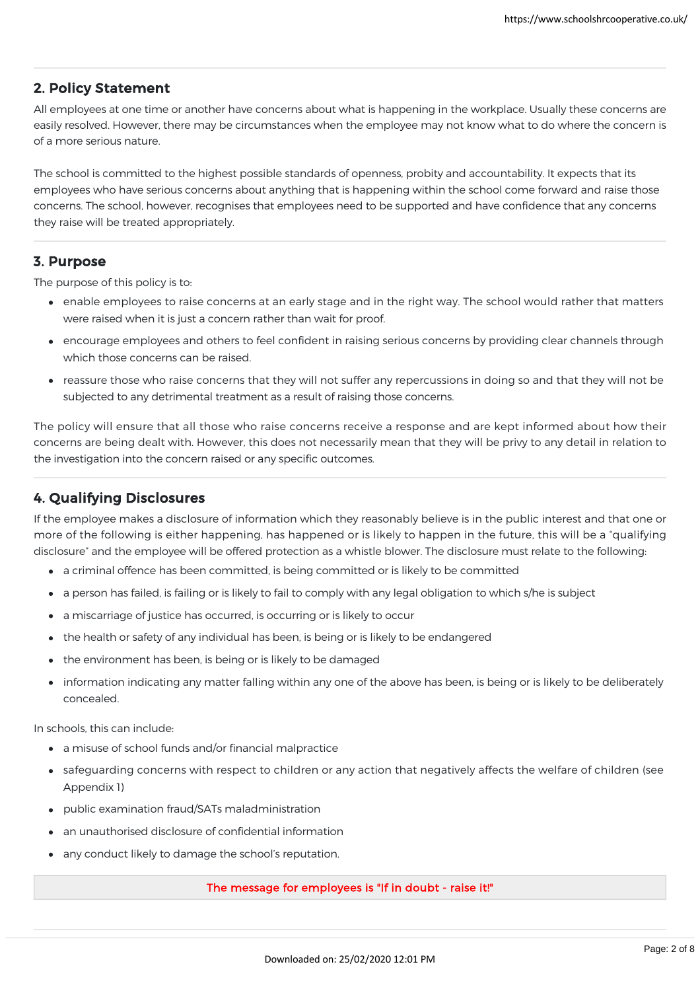## 2. Policy Statement

All employees at one time or another have concerns about what is happening in the workplace. Usually these concerns are easily resolved. However, there may be circumstances when the employee may not know what to do where the concern is of a more serious nature.

The school is committed to the highest possible standards of openness, probity and accountability. It expects that its employees who have serious concerns about anything that is happening within the school come forward and raise those concerns. The school, however, recognises that employees need to be supported and have confidence that any concerns they raise will be treated appropriately.

## 3. Purpose

The purpose of this policy is to:

- enable employees to raise concerns at an early stage and in the right way. The school would rather that matters were raised when it is just a concern rather than wait for proof.
- encourage employees and others to feel confident in raising serious concerns by providing clear channels through which those concerns can be raised.
- reassure those who raise concerns that they will not suffer any repercussions in doing so and that they will not be subjected to any detrimental treatment as a result of raising those concerns.

The policy will ensure that all those who raise concerns receive a response and are kept informed about how their concerns are being dealt with. However, this does not necessarily mean that they will be privy to any detail in relation to the investigation into the concern raised or any specific outcomes.

# 4. Qualifying Disclosures

If the employee makes a disclosure of information which they reasonably believe is in the public interest and that one or more of the following is either happening, has happened or is likely to happen in the future, this will be a "qualifying disclosure" and the employee will be offered protection as a whistle blower. The disclosure must relate to the following:

- a criminal offence has been committed, is being committed or is likely to be committed
- a person has failed, is failing or is likely to fail to comply with any legal obligation to which s/he is subject
- a miscarriage of justice has occurred, is occurring or is likely to occur
- the health or safety of any individual has been, is being or is likely to be endangered
- the environment has been, is being or is likely to be damaged
- information indicating any matter falling within any one of the above has been, is being or is likely to be deliberately concealed.

In schools, this can include:

- a misuse of school funds and/or financial malpractice
- safeguarding concerns with respect to children or any action that negatively affects the welfare of children (see Appendix 1)
- public examination fraud/SATs maladministration
- an unauthorised disclosure of confidential information
- any conduct likely to damage the school's reputation.

#### The message for employees is "If in doubt - raise it!"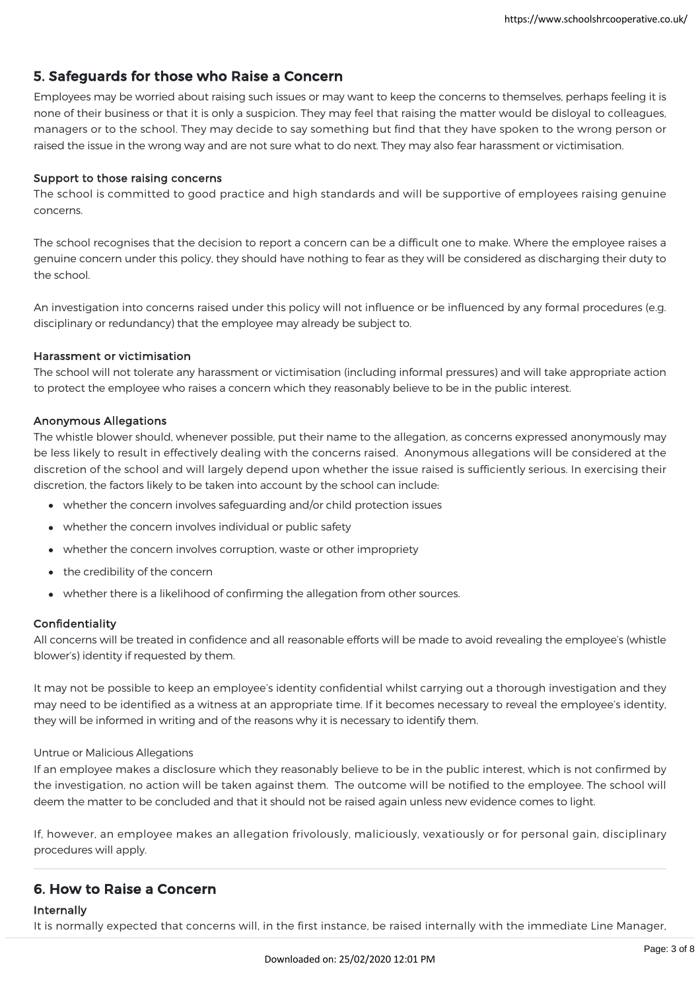## 5. Safeguards for those who Raise a Concern

Employees may be worried about raising such issues or may want to keep the concerns to themselves, perhaps feeling it is none of their business or that it is only a suspicion. They may feel that raising the matter would be disloyal to colleagues, managers or to the school. They may decide to say something but find that they have spoken to the wrong person or raised the issue in the wrong way and are not sure what to do next. They may also fear harassment or victimisation.

#### Support to those raising concerns

The school is committed to good practice and high standards and will be supportive of employees raising genuine concerns.

The school recognises that the decision to report a concern can be a difficult one to make. Where the employee raises a genuine concern under this policy, they should have nothing to fear as they will be considered as discharging their duty to the school.

An investigation into concerns raised under this policy will not influence or be influenced by any formal procedures (e.g. disciplinary or redundancy) that the employee may already be subject to.

#### Harassment or victimisation

The school will not tolerate any harassment or victimisation (including informal pressures) and will take appropriate action to protect the employee who raises a concern which they reasonably believe to be in the public interest.

#### Anonymous Allegations

The whistle blower should, whenever possible, put their name to the allegation, as concerns expressed anonymously may be less likely to result in effectively dealing with the concerns raised. Anonymous allegations will be considered at the discretion of the school and will largely depend upon whether the issue raised is sufficiently serious. In exercising their discretion, the factors likely to be taken into account by the school can include:

- whether the concern involves safeguarding and/or child protection issues
- whether the concern involves individual or public safety
- whether the concern involves corruption, waste or other impropriety
- the credibility of the concern
- whether there is a likelihood of confirming the allegation from other sources.

#### Confidentiality

All concerns will be treated in confidence and all reasonable efforts will be made to avoid revealing the employee's (whistle blower's) identity if requested by them.

It may not be possible to keep an employee's identity confidential whilst carrying out a thorough investigation and they may need to be identified as a witness at an appropriate time. If it becomes necessary to reveal the employee's identity, they will be informed in writing and of the reasons why it is necessary to identify them.

#### Untrue or Malicious Allegations

If an employee makes a disclosure which they reasonably believe to be in the public interest, which is not confirmed by the investigation, no action will be taken against them. The outcome will be notified to the employee. The school will deem the matter to be concluded and that it should not be raised again unless new evidence comes to light.

If, however, an employee makes an allegation frivolously, maliciously, vexatiously or for personal gain, disciplinary procedures will apply.

## 6. How to Raise a Concern

#### Internally

It is normally expected that concerns will, in the first instance, be raised internally with the immediate Line Manager,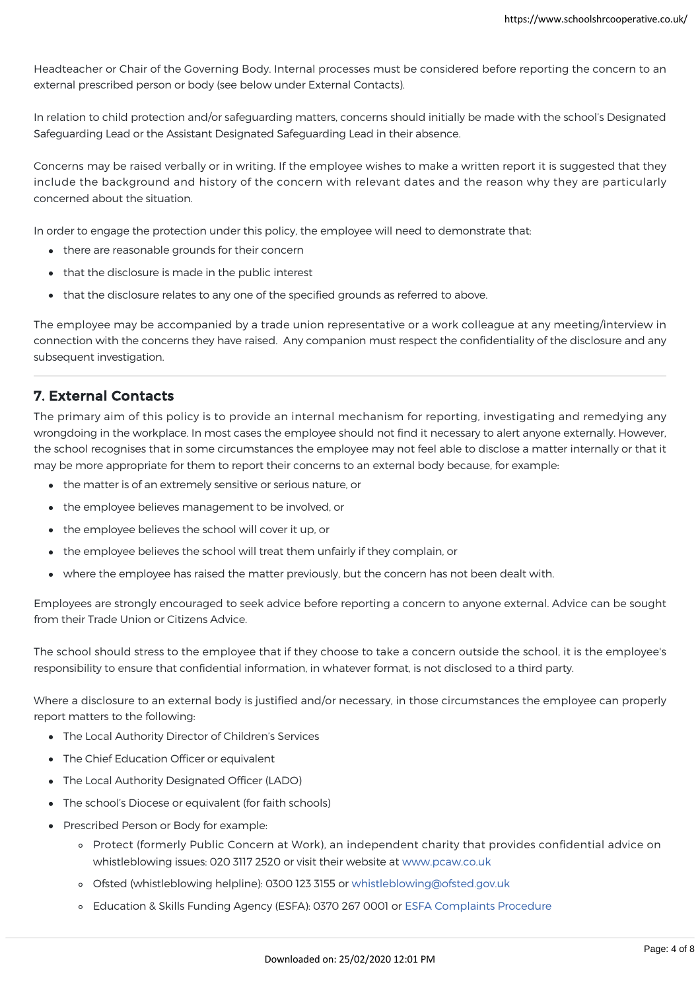It is normally expected that concerns will, in the first instance, be raised internally with the immediate Line Manager, Headteacher or Chair of the Governing Body. Internal processes must be considered before reporting the concern to an external prescribed person or body (see below under External Contacts).

In relation to child protection and/or safeguarding matters, concerns should initially be made with the school's Designated Safeguarding Lead or the Assistant Designated Safeguarding Lead in their absence.

Concerns may be raised verbally or in writing. If the employee wishes to make a written report it is suggested that they include the background and history of the concern with relevant dates and the reason why they are particularly concerned about the situation.

In order to engage the protection under this policy, the employee will need to demonstrate that:

- there are reasonable grounds for their concern
- that the disclosure is made in the public interest
- that the disclosure relates to any one of the specified grounds as referred to above.

The employee may be accompanied by a trade union representative or a work colleague at any meeting/interview in connection with the concerns they have raised. Any companion must respect the confidentiality of the disclosure and any subsequent investigation.

## 7. External Contacts

The primary aim of this policy is to provide an internal mechanism for reporting, investigating and remedying any wrongdoing in the workplace. In most cases the employee should not find it necessary to alert anyone externally. However, the school recognises that in some circumstances the employee may not feel able to disclose a matter internally or that it may be more appropriate for them to report their concerns to an external body because, for example:

- the matter is of an extremely sensitive or serious nature, or
- the employee believes management to be involved, or
- the employee believes the school will cover it up, or
- the employee believes the school will treat them unfairly if they complain, or
- where the employee has raised the matter previously, but the concern has not been dealt with.

Employees are strongly encouraged to seek advice before reporting a concern to anyone external. Advice can be sought from their Trade Union or Citizens Advice.

The school should stress to the employee that if they choose to take a concern outside the school, it is the employee's responsibility to ensure that confidential information, in whatever format, is not disclosed to a third party.

Where a disclosure to an external body is justified and/or necessary, in those circumstances the employee can properly report matters to the following:

- The Local Authority Director of Children's Services
- The Chief Education Officer or equivalent
- The Local Authority Designated Officer (LADO)
- The school's Diocese or equivalent (for faith schools)
- Prescribed Person or Body for example:
	- Protect (formerly Public Concern at Work), an independent charity that provides confidential advice on whistleblowing issues: 020 3117 2520 or visit their website at [www.pcaw.co.uk](https://www.pcaw.co.uk/)
	- Ofsted (whistleblowing helpline): 0300 123 3155 or [whistleblowing@ofsted.gov.uk](mailto:whistleblowing@ofsted.gov.uk)
	- Education & Skills Funding Agency (ESFA): 0370 267 0001 or [ESFA Complaints Procedure](https://www.gov.uk/government/organisations/education-and-skills-funding-agency/about/complaints-procedure)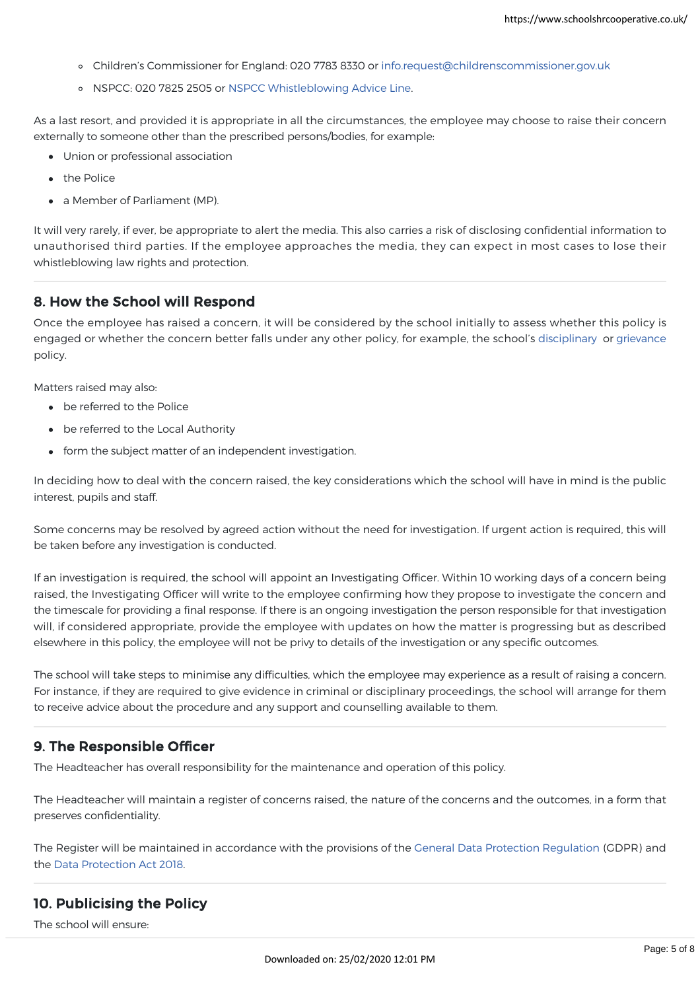- Children's Commissioner for England: 020 7783 8330 or [info.request@childrenscommissioner.gov.uk](mailto:info.request@childrenscommissioner.gov.uk)
- o NSPCC: 020 7825 2505 or [NSPCC Whistleblowing Advice Line](https://www.nspcc.org.uk/keeping-children-safe/reporting-abuse/dedicated-helplines/whistleblowing-advice-line/).

As a last resort, and provided it is appropriate in all the circumstances, the employee may choose to raise their concern externally to someone other than the prescribed persons/bodies, for example:

- Union or professional association
- the Police
- a Member of Parliament (MP).

It will very rarely, if ever, be appropriate to alert the media. This also carries a risk of disclosing confidential information to unauthorised third parties. If the employee approaches the media, they can expect in most cases to lose their whistleblowing law rights and protection.

## 8. How the School will Respond

Once the employee has raised a concern, it will be considered by the school initially to assess whether this policy is engaged or whether the concern better falls under any other policy, for example, the school's [disciplinary](https://www.schoolshrcooperative.co.uk/school/PolicyDetails?id=57) or [grievance](https://www.schoolshrcooperative.co.uk/school/PolicyDetails?id=40) policy.

Matters raised may also:

- be referred to the Police
- be referred to the Local Authority
- form the subject matter of an independent investigation.

In deciding how to deal with the concern raised, the key considerations which the school will have in mind is the public interest, pupils and staff.

Some concerns may be resolved by agreed action without the need for investigation. If urgent action is required, this will be taken before any investigation is conducted.

If an investigation is required, the school will appoint an Investigating Officer. Within 10 working days of a concern being raised, the Investigating Officer will write to the employee confirming how they propose to investigate the concern and the timescale for providing a final response. If there is an ongoing investigation the person responsible for that investigation will, if considered appropriate, provide the employee with updates on how the matter is progressing but as described elsewhere in this policy, the employee will not be privy to details of the investigation or any specific outcomes.

The school will take steps to minimise any difficulties, which the employee may experience as a result of raising a concern. For instance, if they are required to give evidence in criminal or disciplinary proceedings, the school will arrange for them to receive advice about the procedure and any support and counselling available to them.

## 9. The Responsible Officer

The Headteacher has overall responsibility for the maintenance and operation of this policy.

The Headteacher will maintain a register of concerns raised, the nature of the concerns and the outcomes, in a form that preserves confidentiality.

The Register will be maintained in accordance with the provisions of the [General Data Protection Regulation](https://eur-lex.europa.eu/legal-content/EN/TXT/?uri=uriserv:OJ.L_.2016.119.01.0001.01.ENG) (GDPR) and the [Data Protection Act 2018.](http://www.legislation.gov.uk/ukpga/2018/12/contents/enacted)

## 10. Publicising the Policy

The school will ensure: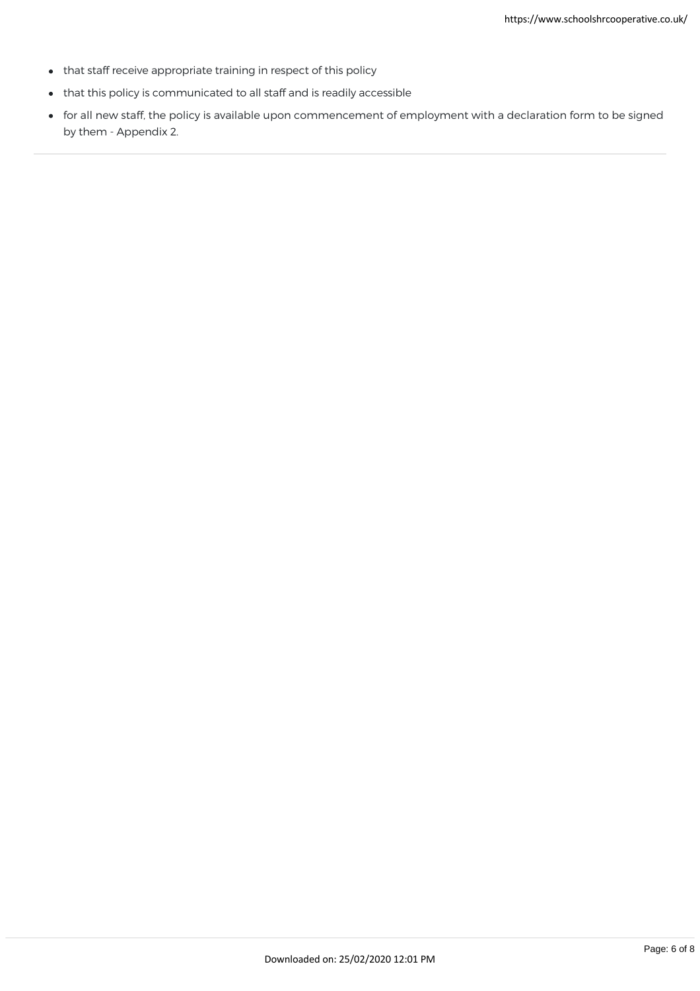- that staff receive appropriate training in respect of this policy
- that this policy is communicated to all staff and is readily accessible
- for all new staff, the policy is available upon commencement of employment with a declaration form to be signed by them - Appendix 2.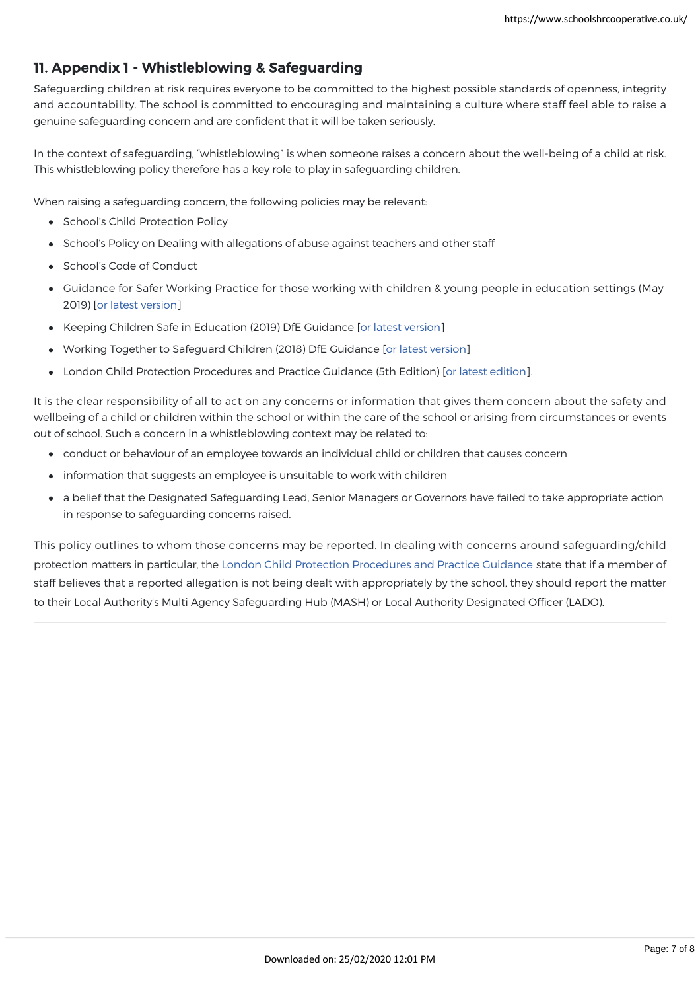# 11. Appendix 1 - Whistleblowing & Safeguarding

Safeguarding children at risk requires everyone to be committed to the highest possible standards of openness, integrity and accountability. The school is committed to encouraging and maintaining a culture where staff feel able to raise a genuine safeguarding concern and are confident that it will be taken seriously.

In the context of safeguarding, "whistleblowing" is when someone raises a concern about the well-being of a child at risk. This whistleblowing policy therefore has a key role to play in safeguarding children.

When raising a safeguarding concern, the following policies may be relevant:

- School's Child Protection Policy
- School's Policy on Dealing with allegations of abuse against teachers and other staff
- School's Code of Conduct
- Guidance for Safer Working Practice for those working with children & young people in education settings (May 2019) [\[or latest version\]](https://www.saferrecruitmentconsortium.org/)
- Keeping Children Safe in Education (2019) DfE Guidance [\[or latest version\]](https://www.gov.uk/government/publications/keeping-children-safe-in-education--2)
- Working Together to Safeguard Children (2018) DfE Guidance [\[or latest version](https://www.gov.uk/government/publications/working-together-to-safeguard-children--2)]
- London Child Protection Procedures and Practice Guidance (5th Edition) [\[or latest edition](https://www.londoncp.co.uk/)].

It is the clear responsibility of all to act on any concerns or information that gives them concern about the safety and wellbeing of a child or children within the school or within the care of the school or arising from circumstances or events out of school. Such a concern in a whistleblowing context may be related to:

- conduct or behaviour of an employee towards an individual child or children that causes concern
- information that suggests an employee is unsuitable to work with children
- a belief that the Designated Safeguarding Lead, Senior Managers or Governors have failed to take appropriate action in response to safeguarding concerns raised.

This policy outlines to whom those concerns may be reported. In dealing with concerns around safeguarding/child protection matters in particular, the [London Child Protection Procedures and Practice Guidance](https://www.londoncp.co.uk/) state that if a member of staff believes that a reported allegation is not being dealt with appropriately by the school, they should report the matter to their Local Authority's Multi Agency Safeguarding Hub (MASH) or Local Authority Designated Officer (LADO).